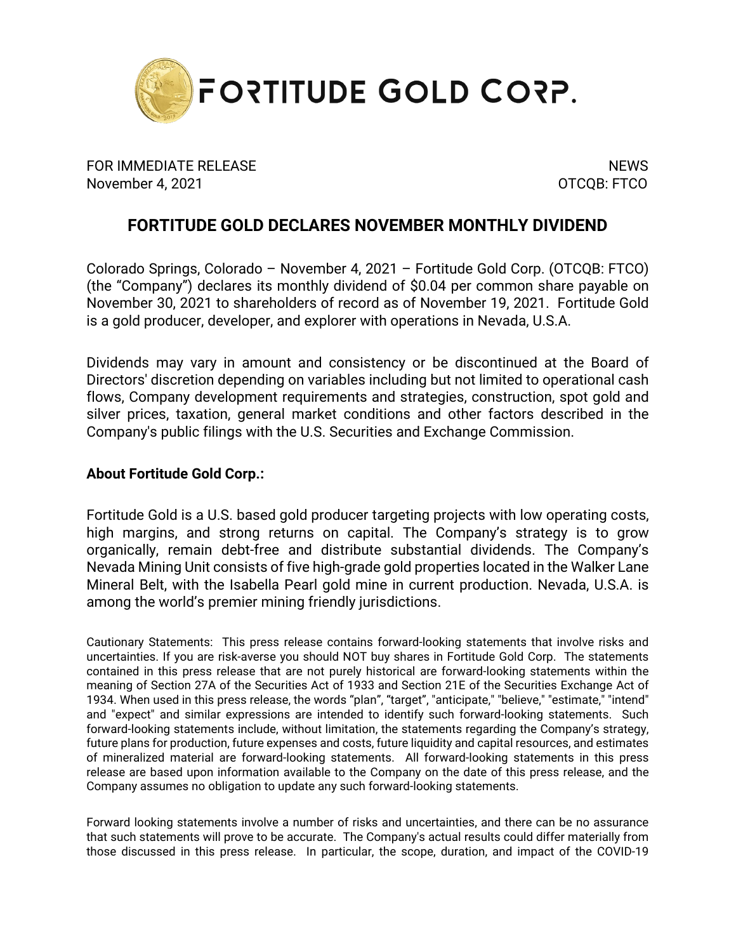

FOR IMMEDIATE RELEASE NEWS AND THE SERVICE OF STREET AND THE SERVICE OF STREET AND THE SERVICE OF STREET AND T November 4, 2021 **OTCQB: FTCO** 

## **FORTITUDE GOLD DECLARES NOVEMBER MONTHLY DIVIDEND**

Colorado Springs, Colorado – November 4, 2021 – Fortitude Gold Corp. (OTCQB: FTCO) (the "Company") declares its monthly dividend of \$0.04 per common share payable on November 30, 2021 to shareholders of record as of November 19, 2021. Fortitude Gold is a gold producer, developer, and explorer with operations in Nevada, U.S.A.

Dividends may vary in amount and consistency or be discontinued at the Board of Directors' discretion depending on variables including but not limited to operational cash flows, Company development requirements and strategies, construction, spot gold and silver prices, taxation, general market conditions and other factors described in the Company's public filings with the U.S. Securities and Exchange Commission.

## **About Fortitude Gold Corp.:**

Fortitude Gold is a U.S. based gold producer targeting projects with low operating costs, high margins, and strong returns on capital. The Company's strategy is to grow organically, remain debt-free and distribute substantial dividends. The Company's Nevada Mining Unit consists of five high-grade gold properties located in the Walker Lane Mineral Belt, with the Isabella Pearl gold mine in current production. Nevada, U.S.A. is among the world's premier mining friendly jurisdictions.

Cautionary Statements: This press release contains forward-looking statements that involve risks and uncertainties. If you are risk-averse you should NOT buy shares in Fortitude Gold Corp. The statements contained in this press release that are not purely historical are forward-looking statements within the meaning of Section 27A of the Securities Act of 1933 and Section 21E of the Securities Exchange Act of 1934. When used in this press release, the words "plan", "target", "anticipate," "believe," "estimate," "intend" and "expect" and similar expressions are intended to identify such forward-looking statements. Such forward-looking statements include, without limitation, the statements regarding the Company's strategy, future plans for production, future expenses and costs, future liquidity and capital resources, and estimates of mineralized material are forward-looking statements. All forward-looking statements in this press release are based upon information available to the Company on the date of this press release, and the Company assumes no obligation to update any such forward-looking statements.

Forward looking statements involve a number of risks and uncertainties, and there can be no assurance that such statements will prove to be accurate. The Company's actual results could differ materially from those discussed in this press release. In particular, the scope, duration, and impact of the COVID-19